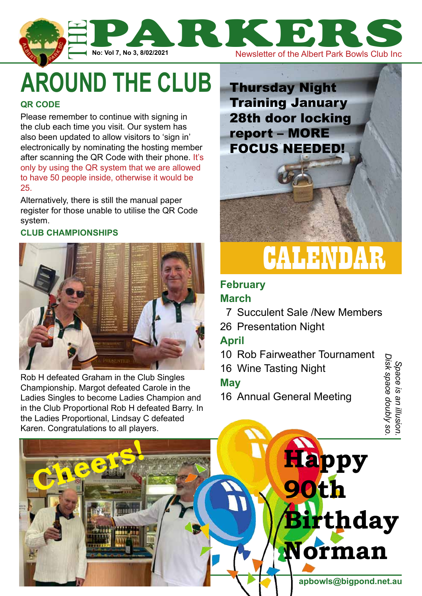

# **around the club**

#### **QR Code**

Please remember to continue with signing in the club each time you visit. Our system has also been updated to allow visitors to 'sign in' electronically by nominating the hosting member after scanning the QR Code with their phone. It's only by using the QR system that we are allowed to have 50 people inside, otherwise it would be 25.

Alternatively, there is still the manual paper register for those unable to utilise the QR Code system.

#### **Club Championships**



Rob H defeated Graham in the Club Singles Championship. Margot defeated Carole in the Ladies Singles to become Ladies Champion and in the Club Proportional Rob H defeated Barry. In the Ladies Proportional, Lindsay C defeated Karen. Congratulations to all players.

**Cheers!**



## **February**

#### **March**

- 7 Succulent Sale /New Members
- 26 Presentation Night

### **April**

10 Rob Fairweather Tournament

**Happy** 

**90th** 

16 Wine Tasting Night

#### **May**

16 Annual General Meeting

Space is an illusion<br>Disk space doubly so *Disk space doubly so. Space is an illusion.* 

**www.albertparkbowlsclub.com.au apbowls@bigpond.net.au**

**Norman**

**Birthday**